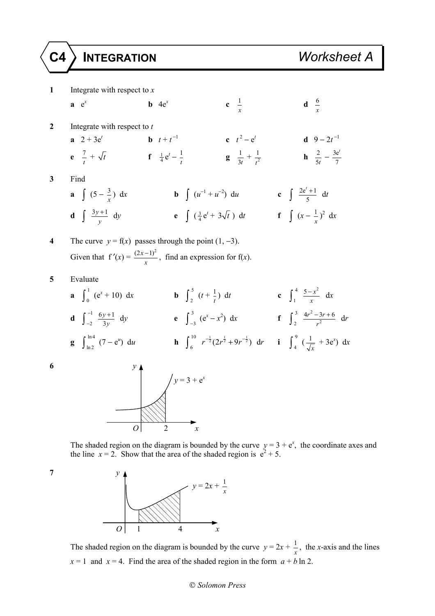**1** Integrate with respect to *x* **a**  $e^x$  **b**  $4e^x$  $\frac{1}{x}$  **d**  $\frac{6}{x}$  $\frac{6}{ }$ **2** Integrate with respect to *t* **a**  $2 + 3e^t$  **b**  $t + t^{-1}$  **c**  $t^2 - e^t$  **d**  $9 - 2t^{-1}$  $e^2$  $\frac{7}{t} + \sqrt{t}$  **f**  $\frac{1}{4} e^{t} - \frac{1}{t}$  **g**  $\frac{1}{3t}$  $rac{1}{3t} + \frac{1}{t^2}$  $\frac{1}{t^2}$  **h**  $\frac{2}{5t} - \frac{3e}{7}$ *t* **3** Find **a** ∫ (5 −  $\frac{3}{x}$ ) dx **b** ∫ ( $u^{-1} + u^{-2}$ ) du **c** ∫  $\frac{2e^{t} + 1}{5}$  dt **d**  $\int \frac{3y+1}{y} dy$  **e**  $\int (\frac{3}{4}e^{t} + 3\sqrt{t}) dt$  **f**  $\int (x - \frac{1}{x})^2 dx$ **4** The curve  $y = f(x)$  passes through the point  $(1, -3)$ . Given that  $f'(x) = \frac{(2x-1)^2}{x}$ , find an expression for f(*x*). **5** Evaluate **a**  $\int_0^1 (e^x + 10) dx$  **b**  $\int_2^5 (t + \frac{1}{t}) dt$  **c**  $\int_1^4 \frac{5 - x^2}{x} dx$ **d**  $\int_{0}^{-1}$ 2  $\int_{-2}^{-1} \frac{6y+1}{3y}$ *y*  $\int_{y}^{1} dy$  **e**  $\int_{-3}^{3} (e^{x} - x^{2}) dx$  **f**  $\int_{2}^{3} \frac{4r^{2} - 3}{r^{2}} dx$  $4r^2 - 3r + 6$  $\frac{-3r+6}{r^2}$  dr **g**  $\int_{\ln 2}^{\ln 4} (7 - e^u) \ du$  **h**  $\int_{6}^{10} r^{-\frac{1}{2}} (2r^{\frac{1}{2}} + 9r^{-\frac{1}{2}}) dr$  **i**  $\int_{4}^{9} (\frac{1}{\sqrt{x}} + 3e^x) dx$ **6** *y*  $y = 3 + e^x$ 

The shaded region on the diagram is bounded by the curve  $y = 3 + e^x$ , the coordinate axes and the line  $x = 2$ . Show that the area of the shaded region is  $e^2 + 5$ .



*O* 2 *x* 

The shaded region on the diagram is bounded by the curve  $y = 2x + \frac{1}{x}$ , the *x*-axis and the lines  $x = 1$  and  $x = 4$ . Find the area of the shaded region in the form  $a + b \ln 2$ .

## *Solomon Press*